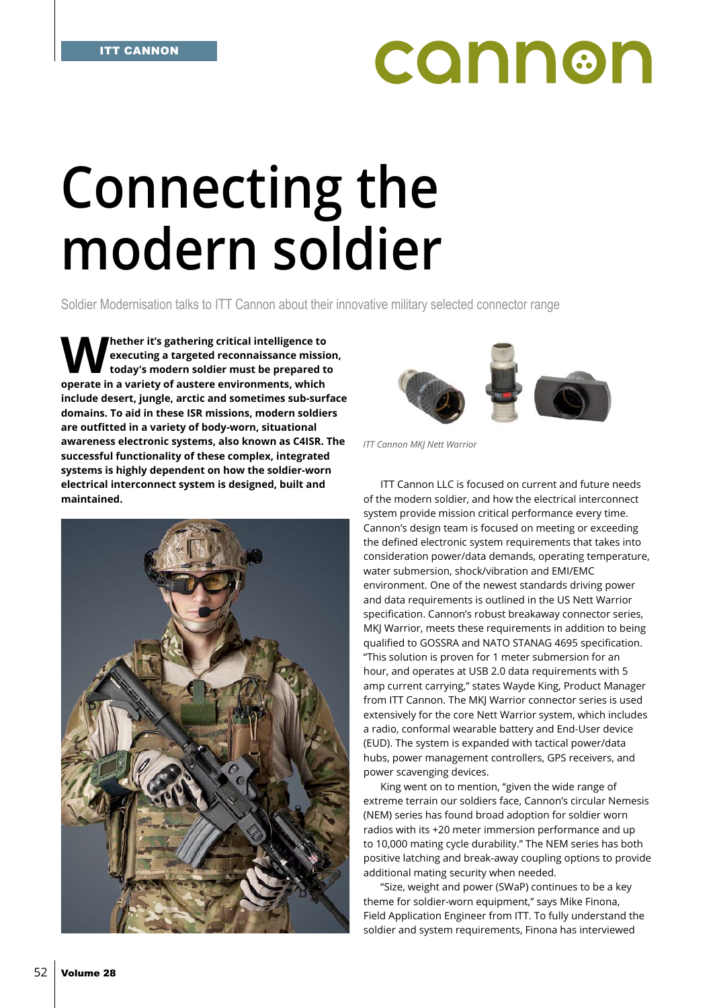## **CONN®N**

## **Connecting the modern soldier**

Soldier Modernisation talks to ITT Cannon about their innovative military selected connector range

**Whether it's gathering critical intelligence to executing a targeted reconnaissance mission, today's modern soldier must be prepared to operate in a variety of austere environments, which include desert, jungle, arctic and sometimes sub-surface domains. To aid in these ISR missions, modern soldiers are outfitted in a variety of body-worn, situational awareness electronic systems, also known as C4ISR. The successful functionality of these complex, integrated systems is highly dependent on how the soldier-worn electrical interconnect system is designed, built and maintained.**





*ITT Cannon MKJ Nett Warrior*

ITT Cannon LLC is focused on current and future needs of the modern soldier, and how the electrical interconnect system provide mission critical performance every time. Cannon's design team is focused on meeting or exceeding the defined electronic system requirements that takes into consideration power/data demands, operating temperature, water submersion, shock/vibration and EMI/EMC environment. One of the newest standards driving power and data requirements is outlined in the US Nett Warrior specification. Cannon's robust breakaway connector series, MKJ Warrior, meets these requirements in addition to being qualified to GOSSRA and NATO STANAG 4695 specification. "This solution is proven for 1 meter submersion for an hour, and operates at USB 2.0 data requirements with 5 amp current carrying," states Wayde King, Product Manager from ITT Cannon. The MKJ Warrior connector series is used extensively for the core Nett Warrior system, which includes a radio, conformal wearable battery and End-User device (EUD). The system is expanded with tactical power/data hubs, power management controllers, GPS receivers, and power scavenging devices.

King went on to mention, "given the wide range of extreme terrain our soldiers face, Cannon's circular Nemesis (NEM) series has found broad adoption for soldier worn radios with its +20 meter immersion performance and up to 10,000 mating cycle durability." The NEM series has both positive latching and break-away coupling options to provide additional mating security when needed.

"Size, weight and power (SWaP) continues to be a key theme for soldier-worn equipment," says Mike Finona, Field Application Engineer from ITT. To fully understand the soldier and system requirements, Finona has interviewed